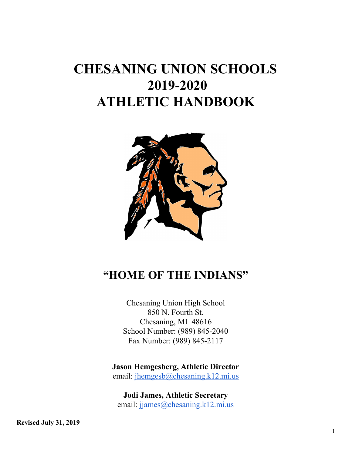# **CHESANING UNION SCHOOLS 2019-2020 ATHLETIC HANDBOOK**



## **"HOME OF THE INDIANS"**

Chesaning Union High School 850 N. Fourth St. Chesaning, MI 48616 School Number: (989) 845-2040 Fax Number: (989) 845-2117

**Jason Hemgesberg, Athletic Director**

email: [jhemgesb@chesaning.k12.mi.us](mailto:jhemgesb@chesaning.k12.mi.us)

**Jodi James, Athletic Secretary** email: jiames@chesaning.k12.mi.us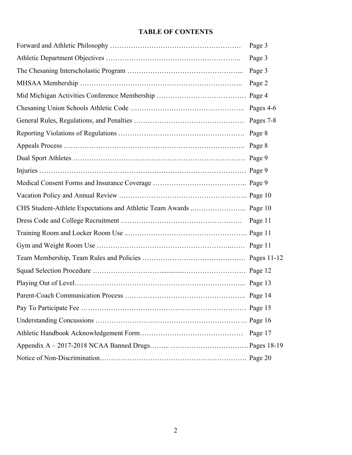## **TABLE OF CONTENTS**

| Page 3    |
|-----------|
| Page 3    |
| Page 3    |
| Page 2    |
| Page 4    |
| Pages 4-6 |
| Pages 7-8 |
| Page 8    |
| Page 8    |
| Page 9    |
|           |
| Page 9    |
|           |
|           |
|           |
| Page 11   |
|           |
| Page 11   |
|           |
|           |
| Page 13   |
|           |
|           |
|           |
| Page 17   |
|           |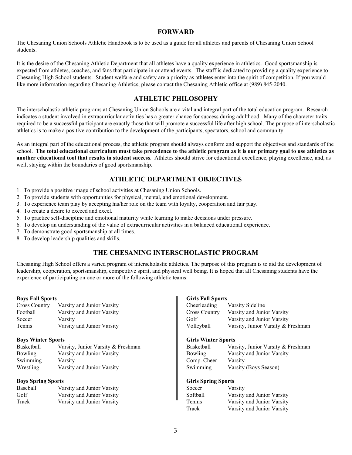#### **FORWARD**

The Chesaning Union Schools Athletic Handbook is to be used as a guide for all athletes and parents of Chesaning Union School students.

It is the desire of the Chesaning Athletic Department that all athletes have a quality experience in athletics. Good sportsmanship is expected from athletes, coaches, and fans that participate in or attend events. The staff is dedicated to providing a quality experience to Chesaning High School students. Student welfare and safety are a priority as athletes enter into the spirit of competition. If you would like more information regarding Chesaning Athletics, please contact the Chesaning Athletic office at (989) 845-2040.

## **ATHLETIC PHILOSOPHY**

The interscholastic athletic programs at Chesaning Union Schools are a vital and integral part of the total education program. Research indicates a student involved in extracurricular activities has a greater chance for success during adulthood. Many of the character traits required to be a successful participant are exactly those that will promote a successful life after high school. The purpose of interscholastic athletics is to make a positive contribution to the development of the participants, spectators, school and community.

As an integral part of the educational process, the athletic program should always conform and support the objectives and standards of the school. The total educational curriculum must take precedence to the athletic program as it is our primary goal to use athletics as **another educational tool that results in student success**. Athletes should strive for educational excellence, playing excellence, and, as well, staying within the boundaries of good sportsmanship.

#### **ATHLETIC DEPARTMENT OBJECTIVES**

- 1. To provide a positive image of school activities at Chesaning Union Schools.
- 2. To provide students with opportunities for physical, mental, and emotional development.
- 3. To experience team play by accepting his/her role on the team with loyalty, cooperation and fair play.
- 4. To create a desire to exceed and excel.
- 5. To practice self-discipline and emotional maturity while learning to make decisions under pressure.
- 6. To develop an understanding of the value of extracurricular activities in a balanced educational experience.
- 7. To demonstrate good sportsmanship at all times.
- 8. To develop leadership qualities and skills.

## **THE CHESANING INTERSCHOLASTIC PROGRAM**

Chesaning High School offers a varied program of interscholastic athletics. The purpose of this program is to aid the development of leadership, cooperation, sportsmanship, competitive spirit, and physical well being. It is hoped that all Chesaning students have the experience of participating on one or more of the following athletic teams:

#### **Boys Fall Sports**

| <b>Cross Country</b> | Varsity and Junior Varsity |
|----------------------|----------------------------|
| Football             | Varsity and Junior Varsity |
| Soccer               | Varsity                    |
| Tennis               | Varsity and Junior Varsity |

#### **Boys Winter Sports**

| Basketball | Varsity, Junior Varsity & Freshman |
|------------|------------------------------------|
| Bowling    | Varsity and Junior Varsity         |
| Swimming   | Varsity                            |
| Wrestling  | Varsity and Junior Varsity         |

#### **Boys Spring Sports**

| Baseball | Varsity and Junior Varsity |
|----------|----------------------------|
| Golf     | Varsity and Junior Varsity |
| Track    | Varsity and Junior Varsity |

#### **Girls Fall Sports**

| Cheerleading         | Varsity Sideline                   |
|----------------------|------------------------------------|
| <b>Cross Country</b> | Varsity and Junior Varsity         |
| Golf                 | Varsity and Junior Varsity         |
| Volleyball           | Varsity, Junior Varsity & Freshman |
|                      |                                    |
|                      |                                    |

#### **Girls Winter Sports** Varsity, Junior Varsity & Freshman

| <b>Bowling</b> | Varsity and Junior Varsity |
|----------------|----------------------------|
| Comp. Cheer    | Varsity                    |
| Swimming       | Varsity (Boys Season)      |

#### **Girls Spring Sports**

| Soccer   | Varsity                    |
|----------|----------------------------|
| Softball | Varsity and Junior Varsity |
| Tennis   | Varsity and Junior Varsity |
| Track    | Varsity and Junior Varsity |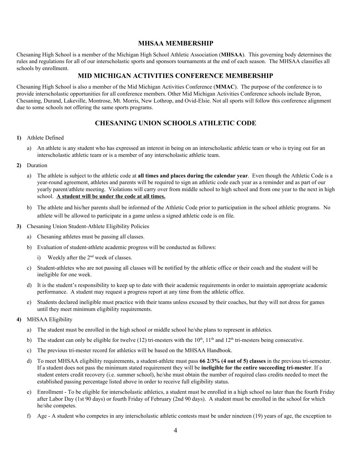#### **MHSAA MEMBERSHIP**

Chesaning High School is a member of the Michigan High School Athletic Association (**MHSAA**). This governing body determines the rules and regulations for all of our interscholastic sports and sponsors tournaments at the end of each season. The MHSAA classifies all schools by enrollment.

## **MID MICHIGAN ACTIVITIES CONFERENCE MEMBERSHIP**

Chesaning High School is also a member of the Mid Michigan Activities Conference (**MMAC**). The purpose of the conference is to provide interscholastic opportunities for all conference members. Other Mid Michigan Activities Conference schools include Byron, Chesaning, Durand, Lakeville, Montrose, Mt. Morris, New Lothrop, and Ovid-Elsie. Not all sports will follow this conference alignment due to some schools not offering the same sports programs.

## **CHESANING UNION SCHOOLS ATHLETIC CODE**

#### **1)** Athlete Defined

a) An athlete is any student who has expressed an interest in being on an interscholastic athletic team or who is trying out for an interscholastic athletic team or is a member of any interscholastic athletic team.

#### **2)** Duration

- a) The athlete is subject to the athletic code at **all times and places during the calendar year**. Even though the Athletic Code is a year-round agreement, athletes and parents will be required to sign an athletic code each year as a reminder and as part of our yearly parent/athlete meeting. Violations will carry over from middle school to high school and from one year to the next in high school. **A student will be under the code at all times.**
- b) The athlete and his/her parents shall be informed of the Athletic Code prior to participation in the school athletic programs. No athlete will be allowed to participate in a game unless a signed athletic code is on file.
- **3)** Chesaning Union Student-Athlete Eligibility Policies
	- a) Chesaning athletes must be passing all classes.
	- b) Evaluation of student-athlete academic progress will be conducted as follows:
		- i) Weekly after the  $2<sup>nd</sup>$  week of classes.
	- c) Student-athletes who are not passing all classes will be notified by the athletic office or their coach and the student will be ineligible for one week.
	- d) It is the student's responsibility to keep up to date with their academic requirements in order to maintain appropriate academic performance. A student may request a progress report at any time from the athletic office.
	- e) Students declared ineligible must practice with their teams unless excused by their coaches, but they will not dress for games until they meet minimum eligibility requirements.

#### **4)** MHSAA Eligibility

- a) The student must be enrolled in the high school or middle school he/she plans to represent in athletics.
- b) The student can only be eligible for twelve (12) tri-mesters with the  $10^{\text{th}}$ ,  $11^{\text{th}}$  and  $12^{\text{th}}$  tri-mesters being consecutive.
- c) The previous tri-mester record for athletics will be based on the MHSAA Handbook.
- d) To meet MHSAA eligibility requirements, a student-athlete must pass **66 2/3% (4 out of 5) classes** in the previous tri-semester. If a student does not pass the minimum stated requirement they will be **ineligible for the entire succeeding tri-mester**. If a student enters credit recovery (i.e. summer school), he/she must obtain the number of required class credits needed to meet the established passing percentage listed above in order to receive full eligibility status.
- e) Enrollment To be eligible for interscholastic athletics, a student must be enrolled in a high school no later than the fourth Friday after Labor Day (1st 90 days) or fourth Friday of February (2nd 90 days). A student must be enrolled in the school for which he/she competes.
- f) Age A student who competes in any interscholastic athletic contests must be under nineteen (19) years of age, the exception to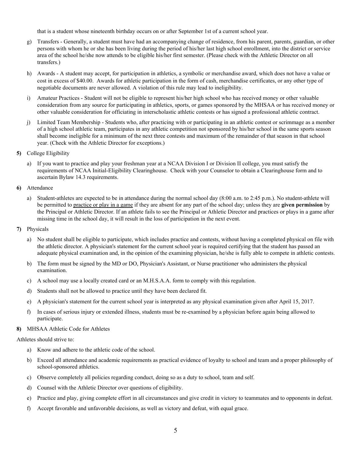that is a student whose nineteenth birthday occurs on or after September 1st of a current school year.

- g) Transfers Generally, a student must have had an accompanying change of residence, from his parent, parents, guardian, or other persons with whom he or she has been living during the period of his/her last high school enrollment, into the district or service area of the school he/she now attends to be eligible his/her first semester. (Please check with the Athletic Director on all transfers.)
- h) Awards A student may accept, for participation in athletics, a symbolic or merchandise award, which does not have a value or cost in excess of \$40.00. Awards for athletic participation in the form of cash, merchandise certificates, or any other type of negotiable documents are never allowed. A violation of this rule may lead to ineligibility.
- i) Amateur Practices Student will not be eligible to represent his/her high school who has received money or other valuable consideration from any source for participating in athletics, sports, or games sponsored by the MHSAA or has received money or other valuable consideration for officiating in interscholastic athletic contests or has signed a professional athletic contract.
- j) Limited Team Membership Students who, after practicing with or participating in an athletic contest or scrimmage as a member of a high school athletic team, participates in any athletic competition not sponsored by his/her school in the same sports season shall become ineligible for a minimum of the next three contests and maximum of the remainder of that season in that school year. (Check with the Athletic Director for exceptions.)
- **5)** College Eligibility
	- a) If you want to practice and play your freshman year at a NCAA Division I or Division II college, you must satisfy the requirements of NCAA Initial-Eligibility Clearinghouse. Check with your Counselor to obtain a Clearinghouse form and to ascertain Bylaw 14.3 requirements.
- **6)** Attendance
	- a) Student-athletes are expected to be in attendance during the normal school day (8:00 a.m. to 2:45 p.m.). No student-athlete will be permitted to practice or play in a game if they are absent for any part of the school day; unless they are **given permission** by the Principal or Athletic Director. If an athlete fails to see the Principal or Athletic Director and practices or plays in a game after missing time in the school day, it will result in the loss of participation in the next event.
- **7)** Physicals
	- a) No student shall be eligible to participate, which includes practice and contests, without having a completed physical on file with the athletic director. A physician's statement for the current school year is required certifying that the student has passed an adequate physical examination and, in the opinion of the examining physician, he/she is fully able to compete in athletic contests.
	- b) The form must be signed by the MD or DO, Physician's Assistant, or Nurse practitioner who administers the physical examination.
	- c) A school may use a locally created card or an M.H.S.A.A. form to comply with this regulation.
	- d) Students shall not be allowed to practice until they have been declared fit.
	- e) A physician's statement for the current school year is interpreted as any physical examination given after April 15, 2017.
	- f) In cases of serious injury or extended illness, students must be re-examined by a physician before again being allowed to participate.

#### **8)** MHSAA Athletic Code for Athletes

Athletes should strive to:

- a) Know and adhere to the athletic code of the school.
- b) Exceed all attendance and academic requirements as practical evidence of loyalty to school and team and a proper philosophy of school-sponsored athletics.
- c) Observe completely all policies regarding conduct, doing so as a duty to school, team and self.
- d) Counsel with the Athletic Director over questions of eligibility.
- e) Practice and play, giving complete effort in all circumstances and give credit in victory to teammates and to opponents in defeat.
- f) Accept favorable and unfavorable decisions, as well as victory and defeat, with equal grace.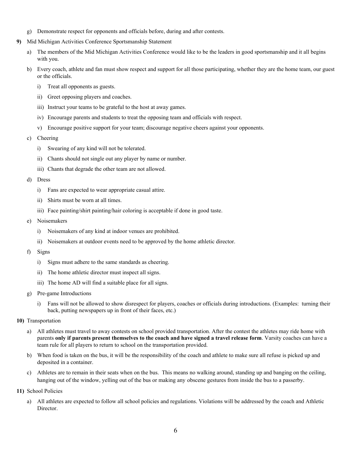- g) Demonstrate respect for opponents and officials before, during and after contests.
- **9)** Mid Michigan Activities Conference Sportsmanship Statement
	- a) The members of the Mid Michigan Activities Conference would like to be the leaders in good sportsmanship and it all begins with you.
	- b) Every coach, athlete and fan must show respect and support for all those participating, whether they are the home team, our guest or the officials.
		- i) Treat all opponents as guests.
		- ii) Greet opposing players and coaches.
		- iii) Instruct your teams to be grateful to the host at away games.
		- iv) Encourage parents and students to treat the opposing team and officials with respect.
		- v) Encourage positive support for your team; discourage negative cheers against your opponents.

#### c) Cheering

- i) Swearing of any kind will not be tolerated.
- ii) Chants should not single out any player by name or number.
- iii) Chants that degrade the other team are not allowed.
- d) Dress
	- i) Fans are expected to wear appropriate casual attire.
	- ii) Shirts must be worn at all times.
	- iii) Face painting/shirt painting/hair coloring is acceptable if done in good taste.
- e) Noisemakers
	- i) Noisemakers of any kind at indoor venues are prohibited.
	- ii) Noisemakers at outdoor events need to be approved by the home athletic director.
- f) Signs
	- i) Signs must adhere to the same standards as cheering.
	- ii) The home athletic director must inspect all signs.
	- iii) The home AD will find a suitable place for all signs.
- g) Pre-game Introductions
	- i) Fans will not be allowed to show disrespect for players, coaches or officials during introductions. (Examples: turning their back, putting newspapers up in front of their faces, etc.)
- **10)** Transportation
	- a) All athletes must travel to away contests on school provided transportation. After the contest the athletes may ride home with parents only if parents present themselves to the coach and have signed a travel release form. Varsity coaches can have a team rule for all players to return to school on the transportation provided.
	- b) When food is taken on the bus, it will be the responsibility of the coach and athlete to make sure all refuse is picked up and deposited in a container.
	- c) Athletes are to remain in their seats when on the bus. This means no walking around, standing up and banging on the ceiling, hanging out of the window, yelling out of the bus or making any obscene gestures from inside the bus to a passerby.
- **11)** School Policies
	- a) All athletes are expected to follow all school policies and regulations. Violations will be addressed by the coach and Athletic Director.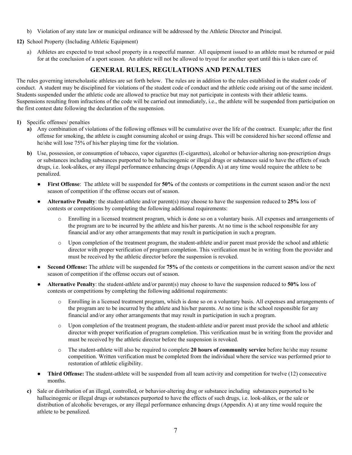b) Violation of any state law or municipal ordinance will be addressed by the Athletic Director and Principal.

**12)** School Property (Including Athletic Equipment)

a) Athletes are expected to treat school property in a respectful manner. All equipment issued to an athlete must be returned or paid for at the conclusion of a sport season. An athlete will not be allowed to tryout for another sport until this is taken care of.

## **GENERAL RULES, REGULATIONS AND PENALTIES**

The rules governing interscholastic athletes are set forth below. The rules are in addition to the rules established in the student code of conduct. A student may be disciplined for violations of the student code of conduct and the athletic code arising out of the same incident. Students suspended under the athletic code are allowed to practice but may not participate in contests with their athletic teams. Suspensions resulting from infractions of the code will be carried out immediately, i.e., the athlete will be suspended from participation on the first contest date following the declaration of the suspension.

- **1)** Specific offenses/ penalties
	- **a)** Any combination of violations of the following offenses will be cumulative over the life of the contract. Example; after the first offense for smoking, the athlete is caught consuming alcohol or using drugs. This will be considered his/her second offense and he/she will lose 75% of his/her playing time for the violation.
	- **b**) Use, possession, or consumption of tobacco, vapor cigarettes (E-cigarettes), alcohol or behavior-altering non-prescription drugs or substances including substances purported to be hallucinogenic or illegal drugs or substances said to have the effects of such drugs, i.e. look-alikes, or any illegal performance enhancing drugs (Appendix A) at any time would require the athlete to be penalized.
		- **First Offense**: The athlete will be suspended for **50%** of the contests or competitions in the current season and/or the next season of competition if the offense occurs out of season.
		- **Alternative Penalty**: the student-athlete and/or parent(s) may choose to have the suspension reduced to **25%** loss of contests or competitions by completing the following additional requirements:
			- o Enrolling in a licensed treatment program, which is done so on a voluntary basis. All expenses and arrangements of the program are to be incurred by the athlete and his/her parents. At no time is the school responsible for any financial and/or any other arrangements that may result in participation in such a program.
			- o Upon completion of the treatment program, the student-athlete and/or parent must provide the school and athletic director with proper **v**erification of program completion. This verification must be in writing from the provider and must be received by the athletic director before the suspension is revoked.
		- **Second Offense:** The athlete will be suspended for **75%** of the contests or competitions in the current season and/or the next season of competition if the offense occurs out of season.
		- **Alternative Penalty**: the student-athlete and/or parent(s) may choose to have the suspension reduced to **50%** loss of contests or competitions by completing the following additional requirements:
			- Enrolling in a licensed treatment program, which is done so on a voluntary basis. All expenses and arrangements of the program are to be incurred by the athlete and his/her parents. At no time is the school responsible for any financial and/or any other arrangements that may result in participation in such a program.
			- o Upon completion of the treatment program, the student-athlete and/or parent must provide the school and athletic director with proper **v**erification of program completion. This verification must be in writing from the provider and must be received by the athletic director before the suspension is revoked.
			- o The student-athlete will also be required to complete **20 hours of community service** before he/she may resume competition. Written verification must be completed from the individual where the service was performed prior to restoration of athletic eligibility.
		- **Third Offense:** The student-athlete will be suspended from all team activity and competition for twelve (12) consecutive months.
	- **c)** Sale or distribution of an illegal, controlled, or behavior-altering drug or substance including substances purported to be hallucinogenic or illegal drugs or substances purported to have the effects of such drugs, i.e. look-alikes, or the sale or distribution of alcoholic beverages, or any illegal performance enhancing drugs (Appendix A) at any time would require the athlete to be penalized.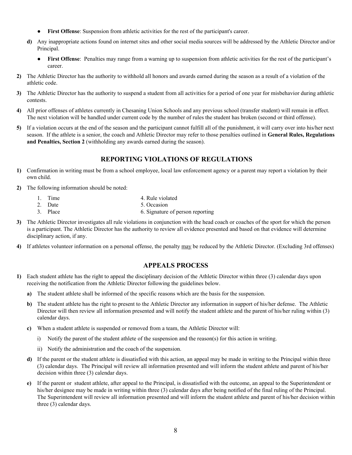- **First Offense**: Suspension from athletic activities for the rest of the participant's career.
- **d)** Any inappropriate actions found on internet sites and other social media sources will be addressed by the Athletic Director and/or Principal.
	- **First Offense**: Penalties may range from a warning up to suspension from athletic activities for the rest of the participant's career.
- **2)** The Athletic Director has the authority to withhold all honors and awards earned during the season as a result of a violation of the athletic code.
- **3)** The Athletic Director has the authority to suspend a student from all activities for a period of one year for misbehavior during athletic contests.
- **4)** All prior offenses of athletes currently in Chesaning Union Schools and any previous school (transfer student) will remain in effect. The next violation will be handled under current code by the number of rules the student has broken (second or third offense).
- **5)** If a violation occurs at the end of the season and the participant cannot fulfill all of the punishment, it will carry over into his/her next season. If the athlete is a senior, the coach and Athletic Director may refer to those penalties outlined in **General Rules, Regulations and Penalties, Section 2** (withholding any awards earned during the season).

## **REPORTING VIOLATIONS OF REGULATIONS**

- **1)** Confirmation in writing must be from a school employee, local law enforcement agency or a parent may report a violation by their own child.
- **2)** The following information should be noted:
	- 1. Time 4. Rule violated
	- 2. Date 5. Occasion
	- 3. Place 6. Signature of person reporting
- **3)** The Athletic Director investigates all rule violations in conjunction with the head coach or coaches of the sport for which the person is a participant. The Athletic Director has the authority to review all evidence presented and based on that evidence will determine disciplinary action, if any.
- **4)** If athletes volunteer information on a personal offense, the penalty may be reduced by the Athletic Director. (Excluding 3rd offenses)

## **APPEALS PROCESS**

- **1)** Each student athlete has the right to appeal the disciplinary decision of the Athletic Director within three (3) calendar days upon receiving the notification from the Athletic Director following the guidelines below.
	- **a**) The student athlete shall be informed of the specific reasons which are the basis for the suspension.
	- **b)** The student athlete has the right to present to the Athletic Director any information in support of his/her defense. The Athletic Director will then review all information presented and will notify the student athlete and the parent of his/her ruling within (3) calendar days.
	- **c)** When a student athlete is suspended or removed from a team, the Athletic Director will:
		- i) Notify the parent of the student athlete of the suspension and the reason(s) for this action in writing.
		- ii) Notify the administration and the coach of the suspension.
	- **d)** If the parent or the student athlete is dissatisfied with this action, an appeal may be made in writing to the Principal within three (3) calendar days. The Principal will review all information presented and will inform the student athlete and parent of his/her decision within three (3) calendar days.
	- **e)** If the parent or student athlete, after appeal to the Principal, is dissatisfied with the outcome, an appeal to the Superintendent or his/her designee may be made in writing within three (3) calendar days after being notified of the final ruling of the Principal. The Superintendent will review all information presented and will inform the student athlete and parent of his/her decision within three (3) calendar days.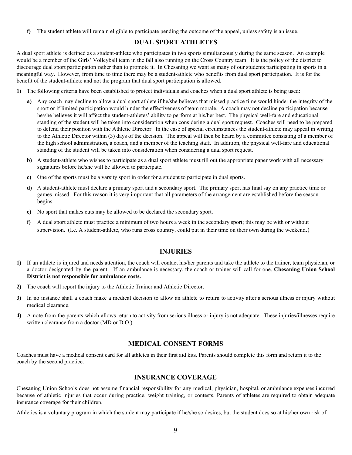**f)** The student athlete will remain eligible to participate pending the outcome of the appeal, unless safety is an issue.

## **DUAL SPORT ATHLETES**

A dual sport athlete is defined as a student-athlete who participates in two sports simultaneously during the same season. An example would be a member of the Girls' Volleyball team in the fall also running on the Cross Country team. It is the policy of the district to discourage dual sport participation rather than to promote it. In Chesaning we want as many of our students participating in sports in a meaningful way. However, from time to time there may be a student-athlete who benefits from dual sport participation. It is for the benefit of the student-athlete and not the program that dual sport participation is allowed.

- **1)** The following criteria have been established to protect individuals and coaches when a dual sport athlete is being used:
	- **a)** Any coach may decline to allow a dual sport athlete if he/she believes that missed practice time would hinder the integrity of the sport or if limited participation would hinder the effectiveness of team morale. A coach may not decline participation because he/she believes it will affect the student-athletes' ability to perform at his/her best. The physical well-fare and educational standing of the student will be taken into consideration when considering a dual sport request. Coaches will need to be prepared to defend their position with the Athletic Director. In the case of special circumstances the student-athlete may appeal in writing to the Athletic Director within (3) days of the decision. The appeal will then be heard by a committee consisting of a member of the high school administration, a coach, and a member of the teaching staff. In addition, the physical well-fare and educational standing of the student will be taken into consideration when considering a dual sport request.
	- **b)** A student-athlete who wishes to participate as a dual sport athlete must fill out the appropriate paper work with all necessary signatures before he/she will be allowed to participate.
	- **c)** One of the sports must be a varsity sport in order for a student to participate in dual sports.
	- **d)** A student-athlete must declare a primary sport and a secondary sport. The primary sport has final say on any practice time or games missed. For this reason it is very important that all parameters of the arrangement are established before the season begins.
	- **e)** No sport that makes cuts may be allowed to be declared the secondary sport.
	- **f)** A dual sport athlete must practice a minimum of two hours a week in the secondary sport; this may be with or without supervision. (I.e. A student-athlete, who runs cross country, could put in their time on their own during the weekend.)

#### **INJURIES**

- **1)** If an athlete is injured and needs attention, the coach will contact his/her parents and take the athlete to the trainer, team physician, or a doctor designated by the parent. If an ambulance is necessary, the coach or trainer will call for one. **Chesaning Union School District is not responsible for ambulance costs.**
- **2)** The coach will report the injury to the Athletic Trainer and Athletic Director.
- **3)** In no instance shall a coach make a medical decision to allow an athlete to return to activity after a serious illness or injury without medical clearance.
- **4)** A note from the parents which allows return to activity from serious illness or injury is not adequate. These injuries/illnesses require written clearance from a doctor (MD or D.O.).

#### **MEDICAL CONSENT FORMS**

Coaches must have a medical consent card for all athletes in their first aid kits. Parents should complete this form and return it to the coach by the second practice.

#### **INSURANCE COVERAGE**

Chesaning Union Schools does not assume financial responsibility for any medical, physician, hospital, or ambulance expenses incurred because of athletic injuries that occur during practice, weight training, or contests. Parents of athletes are required to obtain adequate insurance coverage for their children.

Athletics is a voluntary program in which the student may participate if he/she so desires, but the student does so at his/her own risk of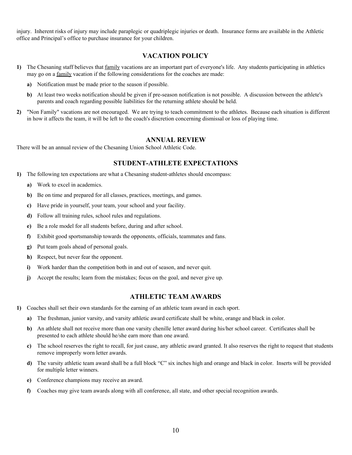injury. Inherent risks of injury may include paraplegic or quadriplegic injuries or death. Insurance forms are available in the Athletic office and Principal's office to purchase insurance for your children.

## **VACATION POLICY**

- **1)** The Chesaning staff believes that family vacations are an important part of everyone's life. Any students participating in athletics may go on a family vacation if the following considerations for the coaches are made:
	- **a)** Notification must be made prior to the season if possible.
	- **b)** At least two weeks notification should be given if pre-season notification is not possible. A discussion between the athlete's parents and coach regarding possible liabilities for the returning athlete should be held.
- **2)** "Non Family" vacations are not encouraged. We are trying to teach commitment to the athletes. Because each situation is different in how it affects the team, it will be left to the coach's discretion concerning dismissal or loss of playing time.

#### **ANNUAL REVIEW**

There will be an annual review of the Chesaning Union School Athletic Code.

#### **STUDENT-ATHLETE EXPECTATIONS**

- **1)** The following ten expectations are what a Chesaning student-athletes should encompass:
	- **a)** Work to excel in academics.
	- **b)** Be on time and prepared for all classes, practices, meetings, and games.
	- **c)** Have pride in yourself, your team, your school and your facility.
	- **d)** Follow all training rules, school rules and regulations.
	- **e)** Be a role model for all students before, during and after school.
	- **f)** Exhibit good sportsmanship towards the opponents, officials, teammates and fans.
	- **g)** Put team goals ahead of personal goals.
	- **h)** Respect, but never fear the opponent.
	- **i)** Work harder than the competition both in and out of season, and never quit.
	- **j)** Accept the results; learn from the mistakes; focus on the goal, and never give up.

#### **ATHLETIC TEAM AWARDS**

- **1)** Coaches shall set their own standards for the earning of an athletic team award in each sport.
	- **a)** The freshman, junior varsity, and varsity athletic award certificate shall be white, orange and black in color.
	- **b**) An athlete shall not receive more than one varsity chenille letter award during his/her school career. Certificates shall be presented to each athlete should he/she earn more than one award.
	- **c)** The school reserves the right to recall, for just cause, any athletic award granted. It also reserves the right to request that students remove improperly worn letter awards.
	- **d)** The varsity athletic team award shall be a full block "C" six inches high and orange and black in color. Inserts will be provided for multiple letter winners.
	- **e)** Conference champions may receive an award.
	- **f)** Coaches may give team awards along with all conference, all state, and other special recognition awards.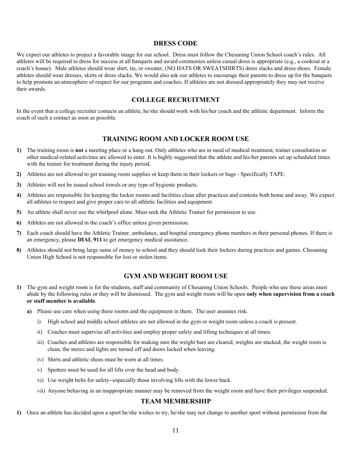#### **DRESS CODE**

We expect our athletes to project a favorable image for our school. Dress must follow the Chesaning Union School coach's rules. All athletes will be required to dress for success at all banquets and award ceremonies unless casual dress is appropriate (e.g., a cookout at a coach's house). Male athletes should wear shirt, tie, or sweater, (NO HATS OR SWEATSHIRTS) dress slacks and dress shoes. Female athletes should wear dresses, skirts or dress slacks. We would also ask our athletes to encourage their parents to dress up for the banquets to help promote an atmosphere of respect for our programs and coaches. If athletes are not dressed appropriately they may not receive their awards.

#### **COLLEGE RECRUITMENT**

In the event that a college recruiter contacts an athlete, he/she should work with his/her coach and the athletic department. Inform the coach of such a contact as soon as possible.

## **TRAINING ROOM AND LOCKER ROOM USE**

- **1)** The training room is **not** a meeting place or a hang out. Only athletes who are in need of medical treatment, trainer consultation or other medical-related activities are allowed to enter. It is highly suggested that the athlete and his/her parents set up scheduled times with the trainer for treatment during the injury period.
- **2)** Athletes are not allowed to get training room supplies or keep them in their lockers or bags Specifically TAPE.
- **3)** Athletes will not be issued school towels or any type of hygienic products.
- **4)** Athletes are responsible for keeping the locker rooms and facilities clean after practices and contests both home and away. We expect all athletes to respect and give proper care to all athletic facilities and equipment.
- **5)** An athlete shall never use the whirlpool alone. Must seek the Athletic Trainer for permission to use.
- **6)** Athletes are not allowed in the coach's office unless given permission.
- **7)** Each coach should have the Athletic Trainer, ambulance, and hospital emergency phone numbers in their personal phones. If there is an emergency, please **DIAL 911** to get emergency medical assistance.
- **8)** Athletes should not bring large sums of money to school and they should lock their lockers during practices and games. Chesaning Union High School is not responsible for lost or stolen items.

#### **GYM AND WEIGHT ROOM USE**

- **1)** The gym and weight room is for the students, staff and community of Chesaning Union Schools. People who use these areas must abide by the following rules or they will be dismissed. The gym and weight room will be open **only when supervision from a coach or staff member is available**.
	- **a)** Please use care when using these rooms and the equipment in them. The user assumes risk.
		- i) High school and middle school athletes are not allowed in the gym or weight room unless a coach is present.
		- ii) Coaches must supervise all activities and employ proper safety and lifting techniques at all times.
		- iii) Coaches and athletes are responsible for making sure the weight bars are cleared, weights are stacked, the weight room is clean, the stereo and lights are turned off and doors locked when leaving.
		- iv) Shirts and athletic shoes must be worn at all times.
		- v) Spotters must be used for all lifts over the head and body.
		- vi) Use weight belts for safety--especially those involving lifts with the lower back.
		- vii) Anyone behaving in an inappropriate manner may be removed from the weight room and have their privileges suspended.

#### **TEAM MEMBERSHIP**

**1)** Once an athlete has decided upon a sport he/she wishes to try, he/she may not change to another sport without permission from the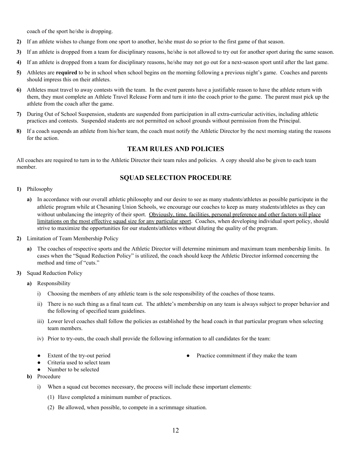coach of the sport he/she is dropping.

- **2)** If an athlete wishes to change from one sport to another, he/she must do so prior to the first game of that season.
- **3)** If an athlete is dropped from a team for disciplinary reasons, he/she is not allowed to try out for another sport during the same season.
- **4)** If an athlete is dropped from a team for disciplinary reasons, he/she may not go out for a next-season sport until after the last game.
- **5)** Athletes are **required** to be in school when school begins on the morning following a previous night's game. Coaches and parents should impress this on their athletes.
- **6)** Athletes must travel to away contests with the team. In the event parents have a justifiable reason to have the athlete return with them, they must complete an Athlete Travel Release Form and turn it into the coach prior to the game. The parent must pick up the athlete from the coach after the game.
- **7)** During Out of School Suspension, students are suspended from participation in all extra-curricular activities, including athletic practices and contests. Suspended students are not permitted on school grounds without permission from the Principal.
- **8)** If a coach suspends an athlete from his/her team, the coach must notify the Athletic Director by the next morning stating the reasons for the action.

## **TEAM RULES AND POLICIES**

All coaches are required to turn in to the Athletic Director their team rules and policies. A copy should also be given to each team member.

#### **SQUAD SELECTION PROCEDURE**

- **1)** Philosophy
	- **a)** In accordance with our overall athletic philosophy and our desire to see as many students/athletes as possible participate in the athletic program while at Chesaning Union Schools, we encourage our coaches to keep as many students/athletes as they can without unbalancing the integrity of their sport. Obviously, time, facilities, personal preference and other factors will place limitations on the most effective squad size for any particular sport. Coaches, when developing individual sport policy, should strive to maximize the opportunities for our students/athletes without diluting the quality of the program.
- **2)** Limitation of Team Membership Policy
	- **a)** The coaches of respective sports and the Athletic Director will determine minimum and maximum team membership limits. In cases when the "Squad Reduction Policy" is utilized, the coach should keep the Athletic Director informed concerning the method and time of "cuts."
- **3)** Squad Reduction Policy
	- **a)** Responsibility
		- i) Choosing the members of any athletic team is the sole responsibility of the coaches of those teams.
		- ii) There is no such thing as a final team cut. The athlete's membership on any team is always subject to proper behavior and the following of specified team guidelines.
		- iii) Lower level coaches shall follow the policies as established by the head coach in that particular program when selecting team members.
		- iv) Prior to try-outs, the coach shall provide the following information to all candidates for the team:
		- Extent of the try-out period
		- Criteria used to select team
		- Number to be selected
	- **b)** Procedure
		- i) When a squad cut becomes necessary, the process will include these important elements:
			- (1) Have completed a minimum number of practices.
			- (2) Be allowed, when possible, to compete in a scrimmage situation.

● Practice commitment if they make the team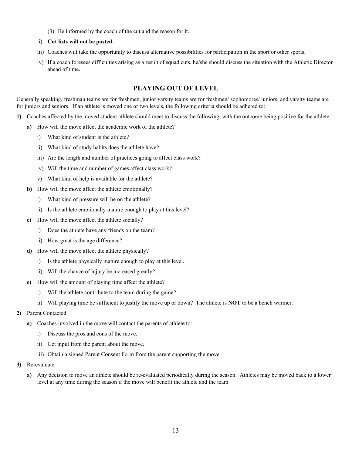- (3) Be informed by the coach of the cut and the reason for it.
- ii) **Cut lists will not be posted.**
- iii) Coaches will take the opportunity to discuss alternative possibilities for participation in the sport or other sports.
- iv) If a coach foresees difficulties arising as a result of squad cuts, he/she should discuss the situation with the Athletic Director ahead of time.

## **PLAYING OUT OF LEVEL**

Generally speaking, freshman teams are for freshmen, junior varsity teams are for freshmen/ sophomores/ juniors, and varsity teams are for juniors and seniors. If an athlete is moved one or two levels, the following criteria should be adhered to:

- **1)** Coaches affected by the moved student athlete should meet to discuss the following, with the outcome being positive for the athlete.
	- **a)** How will the move affect the academic work of the athlete?
		- i) What kind of student is the athlete?
		- ii) What kind of study habits does the athlete have?
		- iii) Are the length and number of practices going to affect class work?
		- iv) Will the time and number of games affect class work?
		- v) What kind of help is available for the athlete?
	- **b)** How will the move affect the athlete emotionally?
		- i) What kind of pressure will be on the athlete?
		- ii) Is the athlete emotionally mature enough to play at this level?
	- **c)** How will the move affect the athlete socially?
		- i) Does the athlete have any friends on the team?
		- ii) How great is the age difference?
	- **d)** How will the move affect the athlete physically?
		- i) Is the athlete physically mature enough to play at this level.
		- ii) Will the chance of injury be increased greatly?
	- **e)** How will the amount of playing time affect the athlete?
		- i) Will the athlete contribute to the team during the game?
		- ii) Will playing time be sufficient to justify the move up or down? The athlete is **NOT** to be a bench warmer.
- **2)** Parent Contacted
	- **a)** Coaches involved in the move will contact the parents of athlete to:
		- i) Discuss the pros and cons of the move.
		- ii) Get input from the parent about the move.
		- iii) Obtain a signed Parent Consent Form from the parent supporting the move.
- **3)** Re-evaluate
	- **a)** Any decision to move an athlete should be re-evaluated periodically during the season. Athletes may be moved back to a lower level at any time during the season if the move will benefit the athlete and the team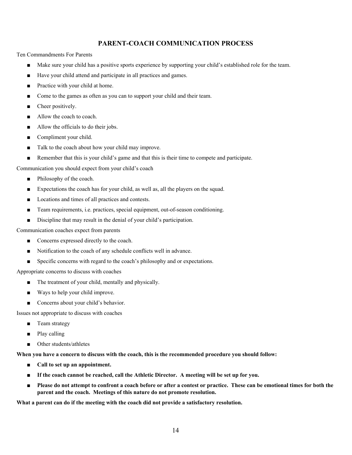## **PARENT-COACH COMMUNICATION PROCESS**

Ten Commandments For Parents

- Make sure your child has a positive sports experience by supporting your child's established role for the team.
- Have your child attend and participate in all practices and games.
- Practice with your child at home.
- Come to the games as often as you can to support your child and their team.
- Cheer positively.
- Allow the coach to coach.
- Allow the officials to do their jobs.
- Compliment your child.
- Talk to the coach about how your child may improve.
- Remember that this is your child's game and that this is their time to compete and participate.

Communication you should expect from your child's coach

- Philosophy of the coach.
- Expectations the coach has for your child, as well as, all the players on the squad.
- Locations and times of all practices and contests.
- Team requirements, i.e. practices, special equipment, out-of-season conditioning.
- Discipline that may result in the denial of your child's participation.

Communication coaches expect from parents

- Concerns expressed directly to the coach.
- Notification to the coach of any schedule conflicts well in advance.
- **■** Specific concerns with regard to the coach's philosophy and or expectations.

Appropriate concerns to discuss with coaches

- The treatment of your child, mentally and physically.
- Ways to help your child improve.
- Concerns about your child's behavior.

Issues not appropriate to discuss with coaches

- Team strategy
- Play calling
- Other students/athletes

When you have a concern to discuss with the coach, this is the recommended procedure you should follow:

- **■ Call to set up an appointment.**
- **If the coach cannot be reached, call the Athletic Director. A meeting will be set up for you.**
- Please do not attempt to confront a coach before or after a contest or practice. These can be emotional times for both the **parent and the coach. Meetings of this nature do not promote resolution.**

**What a parent can do if the meeting with the coach did not provide a satisfactory resolution.**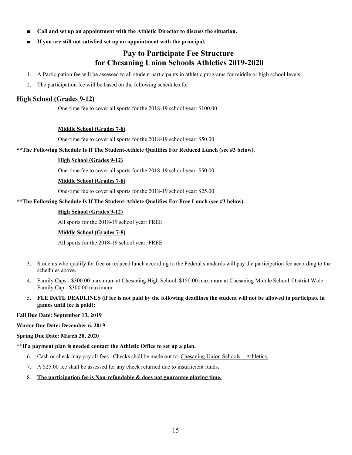- **■ Call and set up an appointment with the Athletic Director to discuss the situation.**
- **■ If you are still not satisfied set up an appointment with the principal.**

## **Pay to Participate Fee Structure for Chesaning Union Schools Athletics 2019-2020**

- 1. A Participation fee will be assessed to all student participants in athletic programs for middle or high school levels.
- 2. The participation fee will be based on the following schedules for:

#### **High School (Grades 9-12)**

One-time fee to cover all sports for the 2018-19 school year: \$100.00

#### **Middle School (Grades 7-8)**

One-time fee to cover all sports for the 2018-19 school year: \$50.00

#### **\*\*The Following Schedule Is If The Student-Athlete Qualifies For Reduced Lunch (see #3 below).**

#### **High School (Grades 9-12)**

One-time fee to cover all sports for the 2018-19 school year: \$50.00

#### **Middle School (Grades 7-8)**

One-time fee to cover all sports for the 2018-19 school year: \$25.00

#### **\*\*The Following Schedule Is If The Student-Athlete Qualifies For Free Lunch (see #3 below).**

#### **High School (Grades 9-12)**

All sports for the 2018-19 school year: FREE

#### **Middle School (Grades 7-8)**

All sports for the 2018-19 school year: FREE

- 3. Students who qualify for free or reduced lunch according to the Federal standards will pay the participation fee according to the schedules above.
- 4. Family Caps \$300.00 maximum at Chesaning High School. \$150.00 maximum at Chesaning Middle School. District Wide Family Cap - \$300.00 maximum.
- 5. FEE DATE DEADLINES (if fee is not paid by the following deadlines the student will not be allowed to participate in **games until fee is paid):**

#### **Fall Due Date: September 13, 2019**

#### **Winter Due Date: December 6, 2019**

#### **Spring Due Date: March 20, 2020**

#### **\*\*If a payment plan is needed contact the Athletic Office to set up a plan.**

- 6. Cash or check may pay all fees. Checks shall be made out to: Chesaning Union Schools Athletics.
- 7. A \$25.00 fee shall be assessed for any check returned due to insufficient funds.

#### 8. **The participation fee is Non-refundable & does not guarantee playing time.**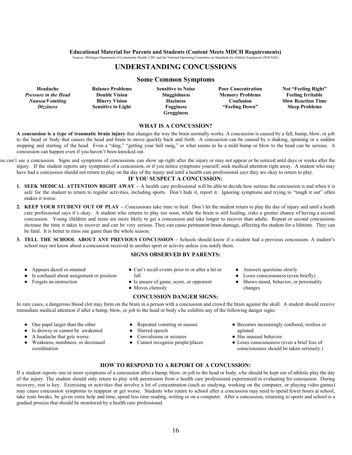## **Educational Material for Parents and Students (Content Meets MDCH Requirements)**

#### Sources: Michigan Department of Community Health. CDC and the National Operating Committee on Standards for Athletic Equipment (NOCSAE)

#### **UNDERSTANDING CONCUSSIONS**

#### **Some Common Symptoms**

| Headache                    | <b>Balance Problems</b>   | <b>Sensitive to Noise</b> | <b>Poor Concentration</b> | Not "Feeling Right"       |
|-----------------------------|---------------------------|---------------------------|---------------------------|---------------------------|
| <b>Pressure in the Head</b> | <b>Double Vision</b>      | <b>Sluggishness</b>       | <b>Memory Problems</b>    | <b>Feeling Irritable</b>  |
| Nausea/Vomiting             | <b>Blurry Vision</b>      | <b>Haziness</b>           | Confusion                 | <b>Slow Reaction Time</b> |
| <i>Dizziness</i>            | <b>Sensitive to Light</b> | <b>Fogginess</b>          | "Feeling Down"            | <b>Sleep Problems</b>     |
|                             |                           | Grogginess                |                           |                           |

#### **WHAT IS A CONCUSSION?**

**A concussion is a type of traumatic brain injury** that changes the way the brain normally works. A concussion is caused by a fall, bump, blow, or jolt to the head or body that causes the head and brain to move quickly back and forth. A concussion can be caused by a shaking, spinning or a sudden stopping and starting of the head. Even a "ding," "getting your bell rung," or what seems to be a mild bump or blow to the head can be serious. A concussion can happen even if you haven't been knocked out.

ou can't see a concussion. Signs and symptoms of concussions can show up right after the injury or may not appear or be noticed until days or weeks after the injury. If the student reports any symptoms of a concussion, or if you notice symptoms yourself, seek medical attention right away. A student who may have had a concussion should not return to play on the day of the injury and until a health care professional says they are okay to return to play.

#### **IF YOU SUSPECT A CONCUSSION:**

- **1. SEEK MEDICAL ATTENTION RIGHT AWAY –** A health care professional will be able to decide how serious the concussion is and when it is safe for the student to return to regular activities, including sports. Don't hide it, report it. Ignoring symptoms and trying to "tough it out" often makes it worse.
- **2. KEEP YOUR STUDENT OUT OF PLAY –** Concussions take time to heal. Don't let the student return to play the day of injury and until a heath care professional says it's okay. A student who returns to play too soon, while the brain is still healing, risks a greater chance of having a second concussion. Young children and teens are more likely to get a concussion and take longer to recover than adults. Repeat or second concussions increase the time it takes to recover and can be very serious. They can cause permanent brain damage, affecting the student for a lifetime. They can be fatal. It is better to miss one game than the whole season.
- **3. TELL THE SCHOOL ABOUT ANY PREVIOUS CONCUSSION –** Schools should know if a student had a previous concussion. A student's school may not know about a concussion received in another sport or activity unless you notify them.

#### **SIGNS OBSERVED BY PARENTS:**

- Appears dazed or stunned
- Is confused about assignment or position
- Forgets an instruction
- Can't recall events prior to or after a hit or fall
- Is unsure of game, score, or opponent
- Moves clumsily

#### **CONCUSSION DANGER SIGNS:**

- Answers questions slowly
- Loses consciousness (even briefly)
- Shows mood, behavior, or personality changes
- In rare cases, a dangerous blood clot may form on the brain in a person with a concussion and crowd the brain against the skull. A student should receive immediate medical attention if after a bump, blow, or jolt to the head or body s/he exhibits any of the following danger signs:
	- One pupil larger than the other
	- Is drowsy or cannot be awakened
	- A headache that gets worse
	- Weakness, numbness, or decreased coordination
- Repeated vomiting or nausea
- Slurred speech
- Convulsions or seizures
- Cannot recognize people/places
- Becomes increasingly confused, restless or agitated
- Has unusual behavior
- Loses consciousness (even a brief loss of consciousness should be taken seriously.)

#### **HOW TO RESPOND TO A REPORT OF A CONCUSSION:**

If a student reports one or more symptoms of a concussion after a bump, blow, or jolt to the head or body, s/he should be kept out of athletic play the day of the injury. The student should only return to play with permission from a health care professional experienced in evaluating for concussion. During recovery, rest is key. Exercising or activities that involve a lot of concentration (such as studying, working on the computer, or playing video games) may cause concussion symptoms to reappear or get worse. Students who return to school after a concussion may need to spend fewer hours at school, take rests breaks, be given extra help and time, spend less time reading, writing or on a computer. After a concussion, returning to sports and school is a gradual process that should be monitored by a health care professional.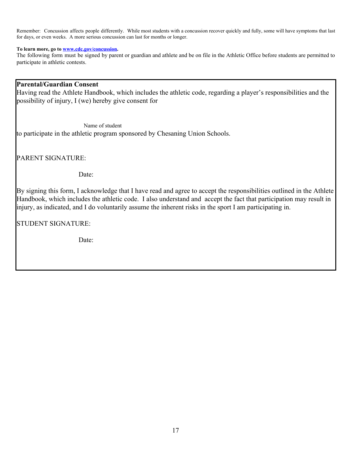Remember: Concussion affects people differently. While most students with a concussion recover quickly and fully, some will have symptoms that last for days, or even weeks. A more serious concussion can last for months or longer.

#### **To learn more, go to [www.cdc.gov/concussion.](http://www.cdc.gov/concussion)**

The following form must be signed by parent or guardian and athlete and be on file in the Athletic Office before students are permitted to participate in athletic contests.

## **Parental/Guardian Consent**

Having read the Athlete Handbook, which includes the athletic code, regarding a player's responsibilities and the possibility of injury, I (we) hereby give consent for

 Name of student to participate in the athletic program sponsored by Chesaning Union Schools.

PARENT SIGNATURE:

Date:

By signing this form, I acknowledge that I have read and agree to accept the responsibilities outlined in the Athlete Handbook, which includes the athletic code. I also understand and accept the fact that participation may result in injury, as indicated, and I do voluntarily assume the inherent risks in the sport I am participating in.

STUDENT SIGNATURE:

Date: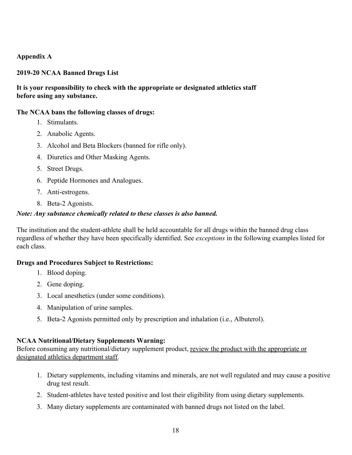## **Appendix A**

## **2019-20 NCAA Banned Drugs List**

## **It is your responsibility to check with the appropriate or designated athletics staff before using any substance.**

## **The NCAA bans the following classes of drugs:**

- 1. Stimulants.
- 2. Anabolic Agents.
- 3. Alcohol and Beta Blockers (banned for rifle only).
- 4. Diuretics and Other Masking Agents.
- 5. Street Drugs.
- 6. Peptide Hormones and Analogues.
- 7. Anti-estrogens.
- 8. Beta-2 Agonists.

## *Note: Any substance chemically related to these classes is also banned.*

The institution and the student-athlete shall be held accountable for all drugs within the banned drug class regardless of whether they have been specifically identified. See *exceptions* in the following examples listed for each class.

## **Drugs and Procedures Subject to Restrictions:**

- 1. Blood doping.
- 2. Gene doping.
- 3. Local anesthetics (under some conditions).
- 4. Manipulation of urine samples.
- 5. Beta-2 Agonists permitted only by prescription and inhalation (i.e., Albuterol).

## **NCAA Nutritional/Dietary Supplements Warning:**

Before consuming any nutritional/dietary supplement product, review the product with the appropriate or designated athletics department staff.

- 1. Dietary supplements, including vitamins and minerals, are not well regulated and may cause a positive drug test result.
- 2. Student-athletes have tested positive and lost their eligibility from using dietary supplements.
- 3. Many dietary supplements are contaminated with banned drugs not listed on the label.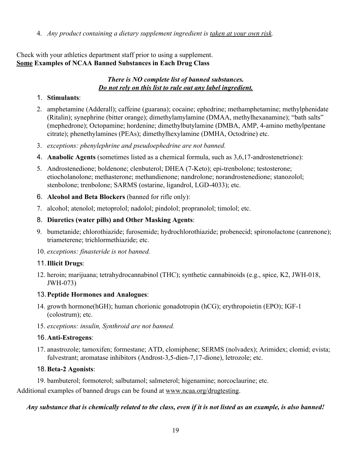4. *Any product containing a dietary supplement ingredient is taken at your own risk.*

## Check with your athletics department staff prior to using a supplement. **Some Examples of NCAA Banned Substances in Each Drug Class**

## *There is NO complete list of banned substances. Do not rely on this list to rule out any label ingredient.*

## 1. **Stimulants**:

- 2. amphetamine (Adderall); caffeine (guarana); cocaine; ephedrine; methamphetamine; methylphenidate (Ritalin); synephrine (bitter orange); dimethylamylamine (DMAA, methylhexanamine); "bath salts" (mephedrone); Octopamine; hordenine; dimethylbutylamine (DMBA, AMP, 4-amino methylpentane citrate); phenethylamines (PEAs); dimethylhexylamine (DMHA, Octodrine) etc.
- 3. *exceptions: phenylephrine and pseudoephedrine are not banned.*
- 4. **Anabolic Agents** (sometimes listed as a chemical formula, such as 3,6,17-androstenetrione):
- 5. Androstenedione; boldenone; clenbuterol; DHEA (7-Keto); epi-trenbolone; testosterone; etiocholanolone; methasterone; methandienone; nandrolone; norandrostenedione; stanozolol; stenbolone; trenbolone; SARMS (ostarine, ligandrol, LGD-4033); etc.
- 6. **Alcohol and Beta Blockers** (banned for rifle only):
- 7. alcohol; atenolol; metoprolol; nadolol; pindolol; propranolol; timolol; etc.
- 8. **Diuretics (water pills) and Other Masking Agents**:
- 9. bumetanide; chlorothiazide; furosemide; hydrochlorothiazide; probenecid; spironolactone (canrenone); triameterene; trichlormethiazide; etc.
- 10. *exceptions: finasteride is not banned.*

## 11.**Illicit Drugs**:

12. heroin; marijuana; tetrahydrocannabinol (THC); synthetic cannabinoids (e.g., spice, K2, JWH-018, JWH-073)

## 13.**Peptide Hormones and Analogues**:

- 14. growth hormone(hGH); human chorionic gonadotropin (hCG); erythropoietin (EPO); IGF-1 (colostrum); etc.
- 15. *exceptions: insulin, Synthroid are not banned.*

## 16.**Anti-Estrogens**:

17. anastrozole; tamoxifen; formestane; ATD, clomiphene; SERMS (nolvadex); Arimidex; clomid; evista; fulvestrant; aromatase inhibitors (Androst-3,5-dien-7,17-dione), letrozole; etc.

## 18.**Beta-2 Agonists**:

19. bambuterol; formoterol; salbutamol; salmeterol; higenamine; norcoclaurine; etc.

Additional examples of banned drugs can be found at [www.ncaa.org/drugtesting.](http://www.ncaa.org/drugtesting)

## *Any substance that is chemically related to the class, even if it is not listed as an example, is also banned!*